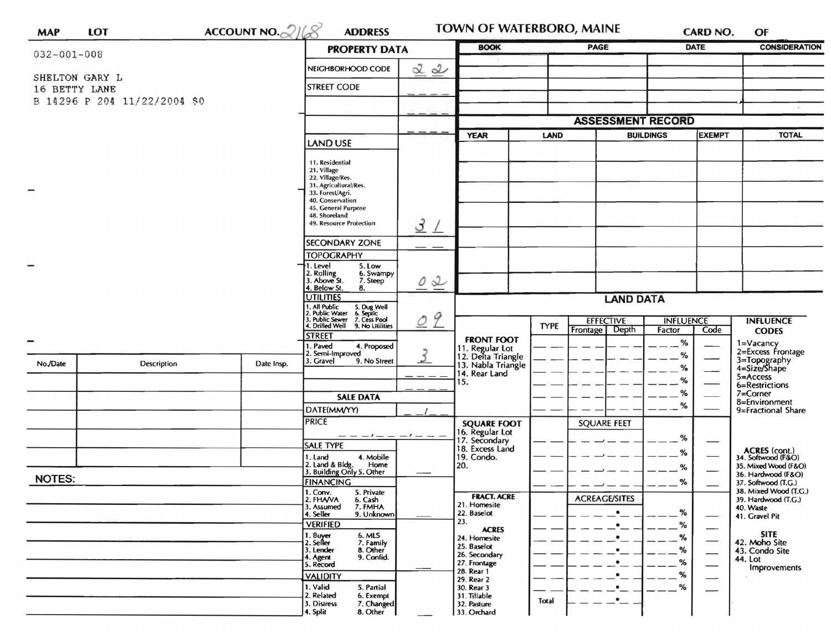| <b>MAP</b>        | <b>LOT</b>                   | ACCOUNT NO. $2168$ | <b>ADDRESS</b>                                                                                                     |                  | TOWN OF WATERBORO, MAINE                                                            |             |                                      |                      | CARD NO.      | OF                                                                                                           |
|-------------------|------------------------------|--------------------|--------------------------------------------------------------------------------------------------------------------|------------------|-------------------------------------------------------------------------------------|-------------|--------------------------------------|----------------------|---------------|--------------------------------------------------------------------------------------------------------------|
| $032 - 001 - 008$ |                              |                    | <b>PROPERTY DATA</b>                                                                                               |                  | <b>BOOK</b><br>PAGE<br><b>DATE</b>                                                  |             |                                      | <b>CONSIDERATION</b> |               |                                                                                                              |
|                   |                              | NEIGHBORHOOD CODE  | 22                                                                                                                 |                  |                                                                                     |             |                                      |                      |               |                                                                                                              |
| 16 BETTY LANE     | SHELTON GARY L               | <b>STREET CODE</b> |                                                                                                                    |                  |                                                                                     |             |                                      |                      |               |                                                                                                              |
|                   | B 14296 P 204 11/22/2004 \$0 |                    |                                                                                                                    |                  |                                                                                     |             |                                      |                      |               |                                                                                                              |
|                   |                              |                    |                                                                                                                    |                  |                                                                                     |             | <b>ASSESSMENT RECORD</b>             |                      |               |                                                                                                              |
|                   |                              |                    |                                                                                                                    |                  | <b>YEAR</b><br>LAND                                                                 |             | <b>BUILDINGS</b>                     |                      | <b>EXEMPT</b> | <b>TOTAL</b>                                                                                                 |
|                   |                              | <b>LAND USE</b>    |                                                                                                                    |                  |                                                                                     |             |                                      |                      |               |                                                                                                              |
|                   |                              | 11. Residential    |                                                                                                                    |                  |                                                                                     |             |                                      |                      |               |                                                                                                              |
|                   |                              |                    | 21. Village<br>22. Village/Res.                                                                                    |                  |                                                                                     |             |                                      |                      |               |                                                                                                              |
|                   |                              |                    | 31. Agricultural/Res.<br>33. Forest/Agri.                                                                          |                  |                                                                                     |             |                                      |                      |               |                                                                                                              |
|                   |                              |                    | 40. Conservation<br>45. General Purpose                                                                            |                  |                                                                                     |             |                                      |                      |               |                                                                                                              |
|                   |                              |                    | 48. Shoreland<br>49. Resource Protection                                                                           | 3<br>$\perp$     |                                                                                     |             |                                      |                      |               |                                                                                                              |
|                   |                              |                    | SECONDARY ZONE                                                                                                     |                  |                                                                                     |             |                                      |                      |               |                                                                                                              |
|                   |                              |                    | <b>TOPOGRAPHY</b>                                                                                                  |                  |                                                                                     |             |                                      |                      |               |                                                                                                              |
| $\blacksquare$    |                              |                    | 1. Level<br>5. Low<br>6. Swampy                                                                                    |                  |                                                                                     |             |                                      |                      |               |                                                                                                              |
|                   |                              |                    | 2. Rolling<br>3. Above St.<br>7. Steep<br>4. Below St.<br>8.                                                       | $\overline{0}$ 2 |                                                                                     |             |                                      |                      |               |                                                                                                              |
|                   |                              |                    | <b>JTILITIES</b>                                                                                                   |                  | <b>LAND DATA</b>                                                                    |             |                                      |                      |               |                                                                                                              |
|                   |                              |                    | 1. All Public<br>2. Public Water<br>3. Public Sewer<br>4. Drilled Well<br>5. Dug Well<br>6. Septic<br>7. Cess Pool | 9                |                                                                                     |             | <b>EFFECTIVE</b><br><b>INFLUENCE</b> |                      |               | <b>INFLUENCE</b>                                                                                             |
|                   |                              |                    | 9. No Utilities<br><b>STREET</b>                                                                                   | Ŏ                |                                                                                     | <b>TYPE</b> | Depth<br>Frontage                    | Factor               | Code          | <b>CODES</b>                                                                                                 |
|                   |                              |                    | 4. Proposed<br>I. Paved                                                                                            |                  | <b>FRONT FOOT</b>                                                                   |             |                                      | %                    |               | 1=Vacancy                                                                                                    |
| No./Date          | <b>Description</b>           | Date Insp.         | 2. Semi-Improved<br>3. Gravel<br>9. No Street                                                                      | $\mathfrak{Z}$   | 11. Regular Lot<br>12. Delta Triangle<br>13. Nabla Triangle<br>14. Rear Land<br>15. |             |                                      | %                    |               | 2=Excess Frontage<br>3=Topography<br>4=Size/Shape<br>5=Access<br>6=Restrictions<br>7=Corner<br>8=Environment |
|                   |                              |                    |                                                                                                                    |                  |                                                                                     |             |                                      | %                    |               |                                                                                                              |
|                   |                              |                    |                                                                                                                    |                  |                                                                                     |             |                                      | %<br>%               |               |                                                                                                              |
|                   |                              |                    | <b>SALE DATA</b>                                                                                                   |                  |                                                                                     |             |                                      | %                    |               |                                                                                                              |
|                   |                              |                    | DATE(MM/YY)<br><b>PRICE</b>                                                                                        |                  | <b>SQUARE FOOT</b>                                                                  |             | <b>SQUARE FEET</b>                   | %                    |               | 9=Fractional Share                                                                                           |
|                   |                              |                    |                                                                                                                    |                  | 16. Regular Lot<br>17. Secondary                                                    |             |                                      |                      |               |                                                                                                              |
|                   |                              |                    | <b>SALE TYPE</b>                                                                                                   |                  | 18. Excess Land                                                                     |             |                                      | $\%$                 |               |                                                                                                              |
|                   |                              |                    | 4. Mobile<br>1. Land<br>2. Land & Bldg.<br>Home                                                                    |                  | 19. Condo.<br>20.                                                                   |             |                                      | %                    |               | ACRES (cont.)<br>34. Softwood (F&O)<br>35. Mixed Wood (F&O)                                                  |
| <b>NOTES:</b>     |                              |                    | 3. Building Only 5. Other                                                                                          |                  |                                                                                     |             |                                      |                      |               | 36. Hardwood (F&O)                                                                                           |
|                   |                              |                    | <b>FINANCING</b><br>1. Conv.<br>5. Private                                                                         |                  | <b>FRACT. ACRE</b>                                                                  |             |                                      | %                    |               | 37. Softwood (T.G.)<br>38. Mixed Wood (T.G.)                                                                 |
|                   |                              |                    | 2. FHAVA<br>6. Cash<br>7. FMHA<br>3. Assumed                                                                       |                  | 21. Homesite                                                                        |             | <b>ACREAGE/SITES</b>                 |                      |               | 39. Hardwood (T.G.)<br>40. Waste                                                                             |
|                   |                              |                    | 4. Seller<br>9. Unknown<br><b>VERIFIED</b>                                                                         |                  | 22. Baselot<br>23.                                                                  |             |                                      | %                    |               | 41. Gravel Pit                                                                                               |
|                   |                              |                    | 1. Buyer<br>2. Seller<br>6. MLS                                                                                    |                  | <b>ACRES</b><br>24. Homesite                                                        |             |                                      | ℅<br>%               | —             | <b>SITE</b>                                                                                                  |
|                   |                              |                    | 7. Family<br>3. Lender<br>8. Other                                                                                 |                  | 25. Baselot                                                                         |             |                                      | %                    |               | 42. Moho Site<br>43. Condo Site                                                                              |
|                   |                              |                    | 9. Confid.<br>4. Agent<br>5. Record                                                                                |                  | 26. Secondary<br>27. Frontage                                                       |             |                                      | ℅                    |               | 44. Lot<br>Improvements                                                                                      |
|                   |                              |                    | <b>VALIDITY</b>                                                                                                    |                  | 28. Rear 1<br>29. Rear 2                                                            |             |                                      | %                    |               |                                                                                                              |
|                   |                              |                    | 1. Valid<br>5. Partial<br>2. Related<br>6. Exempt                                                                  |                  | 30. Rear 3<br>31. Tillable                                                          |             |                                      | %                    |               |                                                                                                              |
|                   |                              |                    | 3. Distress<br>7. Changed<br>4. Split<br>8. Other                                                                  |                  | 32. Pasture<br>33. Orchard                                                          | Total       |                                      |                      |               |                                                                                                              |
|                   |                              |                    |                                                                                                                    |                  |                                                                                     |             |                                      |                      |               |                                                                                                              |